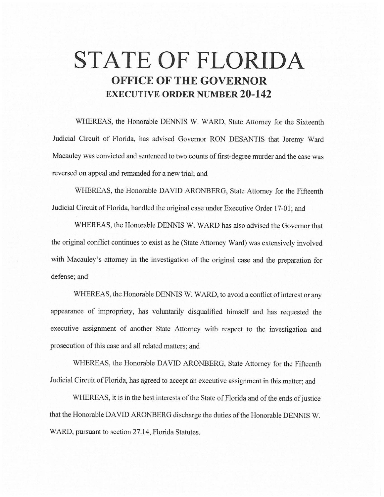# **STATE OF FLORIDA OFFICE OF THE GOVERNOR EXECUTIVE ORDER NUMBER 20-142**

WHEREAS, the Honorable DENNIS W. WARD, State Attorney for the Sixteenth Judicial Circuit of Florida, has advised Governor RON DESANTIS that Jeremy Ward Macauley was convicted and sentenced to two counts of first-degree murder and the case was reversed on appeal and remanded for a new trial; and

WHEREAS, the Honorable DAVID ARONBERG, State Attorney for the Fifteenth Judicial Circuit of Florida, handled the original case under Executive Order 17-01; and

WHEREAS, the Honorable DENNIS W. WARD has also advised the Governor that the original conflict continues to exist as he (State Attorney Ward) was extensively involved with Macauley's attorney in the investigation of the original case and the preparation for defense; and

WHEREAS, the Honorable DENNIS W. WARD, to avoid a conflict of interest or any appearance of impropriety, has voluntarily disqualified himself and has requested the executive assignment of another State Attorney with respect to the investigation and prosecution of this case and all related matters; and

WHEREAS, the Honorable DAVID ARONBERG, State Attorney for the Fifteenth Judicial Circuit of Florida, has agreed to accept an executive assignment in this matter; and

WHEREAS, it is in the best interests of the State of Florida and of the ends of justice that the Honorable DAVID ARONBERG discharge the duties of the Honorable DENNIS W. WARD, pursuant to section 27.14, Florida Statutes.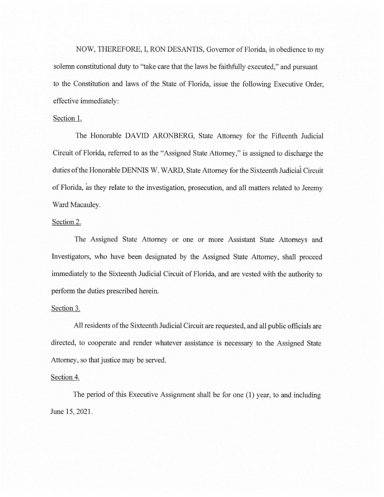NOW, THEREFORE, I, RON DESANTIS, Governor of Florida, in obedience to my solemn constitutional duty to "take care that the laws be faithfully executed," and pursuant to the Constitution and laws of the State of Florida, issue the following Executive Order, effective immediately:

## Section 1.

The Honorable DAVID ARONBERG, State Attorney for the Fifteenth Judicial Circuit of Florida, referred to as the "Assigned State Attorney," is assigned to discharge the duties of the Honorable DENNIS W. WARD, State Attorney for the Sixteenth Judiciai Circuit of Florida, as they relate to the investigation, prosecution, and all matters related to Jeremy Ward Macauley.

### Section 2.

The Assigned State Attorney or one or more Assistant State Attorneys and Investigators, who have been designated by the Assigned State Attorney, shall proceed immediately to the Sixteenth Judicial Circuit of Florida, and are vested with the authority to perform the duties prescribed herein.

#### Section 3.

All residents of the Sixteenth Judicial Circuit are requested, and all public officials are directed, to cooperate and render whatever assistance is necessary to the Assigned State Attorney, so that justice may be served.

#### Section 4.

The period of this Executive Assignment shall be for one (1) year, to and including June 15, 2021.